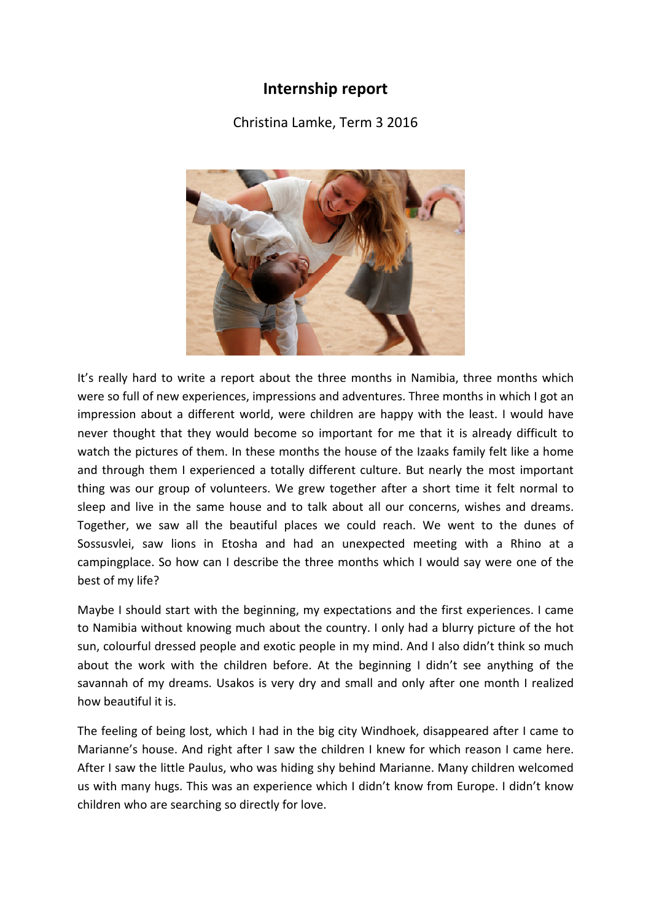## **Internship report**

Christina Lamke, Term 3 2016



It's really hard to write a report about the three months in Namibia, three months which were so full of new experiences, impressions and adventures. Three months in which I got an impression about a different world, were children are happy with the least. I would have never thought that they would become so important for me that it is already difficult to watch the pictures of them. In these months the house of the Izaaks family felt like a home and through them I experienced a totally different culture. But nearly the most important thing was our group of volunteers. We grew together after a short time it felt normal to sleep and live in the same house and to talk about all our concerns, wishes and dreams. Together, we saw all the beautiful places we could reach. We went to the dunes of Sossusvlei, saw lions in Etosha and had an unexpected meeting with a Rhino at a campingplace. So how can I describe the three months which I would say were one of the best of my life?

Maybe I should start with the beginning, my expectations and the first experiences. I came to Namibia without knowing much about the country. I only had a blurry picture of the hot sun, colourful dressed people and exotic people in my mind. And I also didn't think so much about the work with the children before. At the beginning I didn't see anything of the savannah of my dreams. Usakos is very dry and small and only after one month I realized how beautiful it is.

The feeling of being lost, which I had in the big city Windhoek, disappeared after I came to Marianne's house. And right after I saw the children I knew for which reason I came here. After I saw the little Paulus, who was hiding shy behind Marianne. Many children welcomed us with many hugs. This was an experience which I didn't know from Europe. I didn't know children who are searching so directly for love.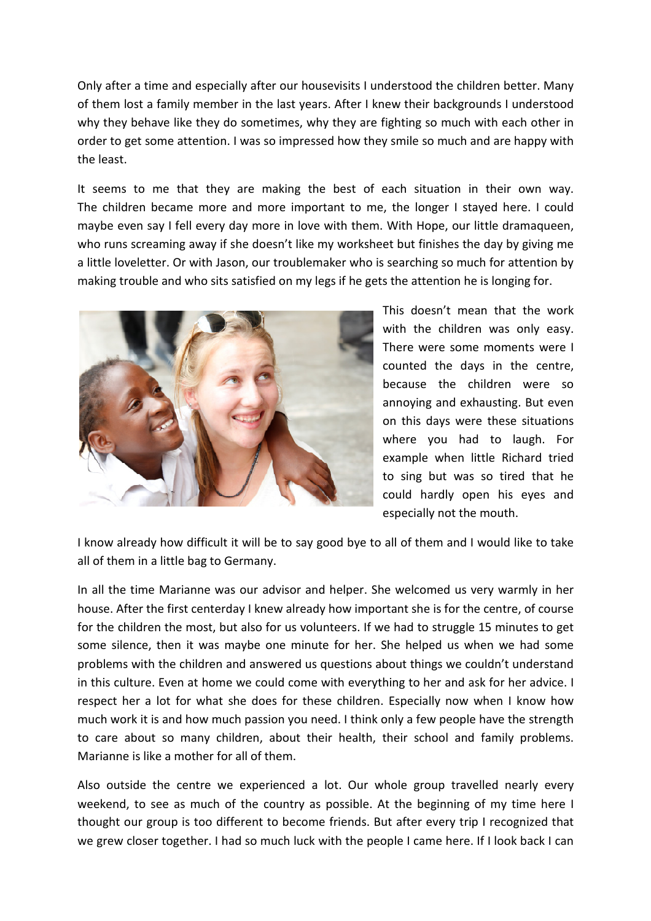Only after a time and especially after our housevisits I understood the children better. Many of them lost a family member in the last years. After I knew their backgrounds I understood why they behave like they do sometimes, why they are fighting so much with each other in order to get some attention. I was so impressed how they smile so much and are happy with the least.

It seems to me that they are making the best of each situation in their own way. The children became more and more important to me, the longer I stayed here. I could maybe even say I fell every day more in love with them. With Hope, our little dramaqueen, who runs screaming away if she doesn't like my worksheet but finishes the day by giving me a little loveletter. Or with Jason, our troublemaker who is searching so much for attention by making trouble and who sits satisfied on my legs if he gets the attention he is longing for.



This doesn't mean that the work with the children was only easy. There were some moments were I counted the days in the centre, because the children were so annoying and exhausting. But even on this days were these situations where you had to laugh. For example when little Richard tried to sing but was so tired that he could hardly open his eyes and especially not the mouth.

I know already how difficult it will be to say good bye to all of them and I would like to take all of them in a little bag to Germany.

In all the time Marianne was our advisor and helper. She welcomed us very warmly in her house. After the first centerday I knew already how important she is for the centre, of course for the children the most, but also for us volunteers. If we had to struggle 15 minutes to get some silence, then it was maybe one minute for her. She helped us when we had some problems with the children and answered us questions about things we couldn't understand in this culture. Even at home we could come with everything to her and ask for her advice. I respect her a lot for what she does for these children. Especially now when I know how much work it is and how much passion you need. I think only a few people have the strength to care about so many children, about their health, their school and family problems. Marianne is like a mother for all of them.

Also outside the centre we experienced a lot. Our whole group travelled nearly every weekend, to see as much of the country as possible. At the beginning of my time here I thought our group is too different to become friends. But after every trip I recognized that we grew closer together. I had so much luck with the people I came here. If I look back I can